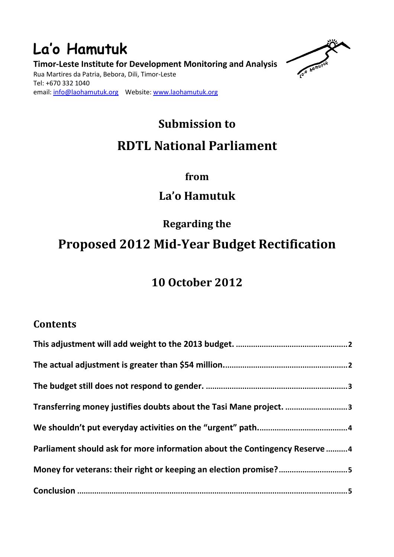### **La'o Hamutuk Timor-Leste Institute for Development Monitoring and Analysis**  Rua Martires da Patria, Bebora, Dili, Timor-Leste Tel: +670 332 1040 email: info@laohamutuk.org Website: www.laohamutuk.org



# **Submission to RDTL National Parliament**

### **from**

## **La'o Hamutuk**

**Regarding the**

## **Proposed 2012 Mid-Year Budget Rectification**

## **10 October 2012**

### **Contents**

| Transferring money justifies doubts about the Tasi Mane project. 3          |  |
|-----------------------------------------------------------------------------|--|
|                                                                             |  |
| Parliament should ask for more information about the Contingency Reserve  4 |  |
| Money for veterans: their right or keeping an election promise?5            |  |
|                                                                             |  |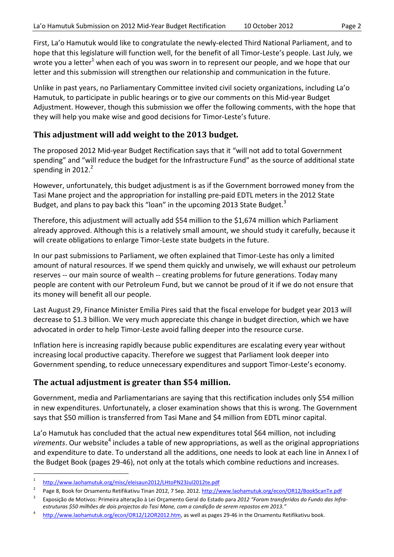First, La'o Hamutuk would like to congratulate the newly-elected Third National Parliament, and to hope that this legislature will function well, for the benefit of all Timor-Leste's people. Last July, we wrote you a letter<sup>1</sup> when each of you was sworn in to represent our people, and we hope that our letter and this submission will strengthen our relationship and communication in the future.

Unlike in past years, no Parliamentary Committee invited civil society organizations, including La'o Hamutuk, to participate in public hearings or to give our comments on this Mid-year Budget Adjustment. However, though this submission we offer the following comments, with the hope that they will help you make wise and good decisions for Timor-Leste's future.

#### **This adjustment will add weight to the 2013 budget.**

The proposed 2012 Mid-year Budget Rectification says that it "will not add to total Government spending" and "will reduce the budget for the Infrastructure Fund" as the source of additional state spending in  $2012.<sup>2</sup>$ 

However, unfortunately, this budget adjustment is as if the Government borrowed money from the Tasi Mane project and the appropriation for installing pre-paid EDTL meters in the 2012 State Budget, and plans to pay back this "loan" in the upcoming 2013 State Budget.<sup>3</sup>

Therefore, this adjustment will actually add \$54 million to the \$1,674 million which Parliament already approved. Although this is a relatively small amount, we should study it carefully, because it will create obligations to enlarge Timor-Leste state budgets in the future.

In our past submissions to Parliament, we often explained that Timor-Leste has only a limited amount of natural resources. If we spend them quickly and unwisely, we will exhaust our petroleum reserves -- our main source of wealth -- creating problems for future generations. Today many people are content with our Petroleum Fund, but we cannot be proud of it if we do not ensure that its money will benefit all our people.

Last August 29, Finance Minister Emilia Pires said that the fiscal envelope for budget year 2013 will decrease to \$1.3 billion. We very much appreciate this change in budget direction, which we have advocated in order to help Timor-Leste avoid falling deeper into the resource curse.

Inflation here is increasing rapidly because public expenditures are escalating every year without increasing local productive capacity. Therefore we suggest that Parliament look deeper into Government spending, to reduce unnecessary expenditures and support Timor-Leste's economy.

#### **The actual adjustment is greater than \$54 million.**

Government, media and Parliamentarians are saying that this rectification includes only \$54 million in new expenditures. Unfortunately, a closer examination shows that this is wrong. The Government says that \$50 million is transferred from Tasi Mane and \$4 million from EDTL minor capital.

La'o Hamutuk has concluded that the actual new expenditures total \$64 million, not including virements. Our website<sup>4</sup> includes a table of new appropriations, as well as the original appropriations and expenditure to date. To understand all the additions, one needs to look at each line in Annex I of the Budget Book (pages 29-46), not only at the totals which combine reductions and increases.

<sup>1</sup>  $\frac{1}{2}$  http://www.laohamutuk.org/misc/eleisaun2012/LHtoPN23Jul2012te.pdf

Page 8, Book for Orsamentu Retifikativu Tinan 2012, 7 Sep. 2012. http://www.laohamutuk.org/econ/OR12/BookScanTe.pdf

<sup>3</sup> Exposição de Motivos: Primeira alteração à Lei Orçamento Geral do Estado para *2012 "Foram transferidos do Fundo das Infraestruturas \$50 milhões de dois projectos do Tasi Mane, com a condição de serem repostos em 2013."*

<sup>4</sup> http://www.laohamutuk.org/econ/OR12/12OR2012.htm, as well as pages 29-46 in the Orsamentu Retifikativu book.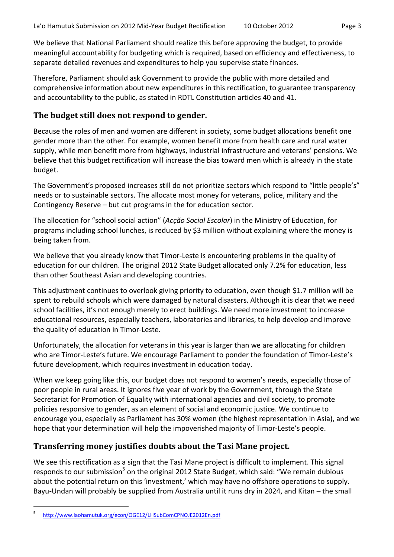We believe that National Parliament should realize this before approving the budget, to provide meaningful accountability for budgeting which is required, based on efficiency and effectiveness, to separate detailed revenues and expenditures to help you supervise state finances.

Therefore, Parliament should ask Government to provide the public with more detailed and comprehensive information about new expenditures in this rectification, to guarantee transparency and accountability to the public, as stated in RDTL Constitution articles 40 and 41.

#### **The budget still does not respond to gender.**

Because the roles of men and women are different in society, some budget allocations benefit one gender more than the other. For example, women benefit more from health care and rural water supply, while men benefit more from highways, industrial infrastructure and veterans' pensions. We believe that this budget rectification will increase the bias toward men which is already in the state budget.

The Government's proposed increases still do not prioritize sectors which respond to "little people's" needs or to sustainable sectors. The allocate most money for veterans, police, military and the Contingency Reserve – but cut programs in the for education sector.

The allocation for "school social action" (*Acção Social Escolar*) in the Ministry of Education, for programs including school lunches, is reduced by \$3 million without explaining where the money is being taken from.

We believe that you already know that Timor-Leste is encountering problems in the quality of education for our children. The original 2012 State Budget allocated only 7.2% for education, less than other Southeast Asian and developing countries.

This adjustment continues to overlook giving priority to education, even though \$1.7 million will be spent to rebuild schools which were damaged by natural disasters. Although it is clear that we need school facilities, it's not enough merely to erect buildings. We need more investment to increase educational resources, especially teachers, laboratories and libraries, to help develop and improve the quality of education in Timor-Leste.

Unfortunately, the allocation for veterans in this year is larger than we are allocating for children who are Timor-Leste's future. We encourage Parliament to ponder the foundation of Timor-Leste's future development, which requires investment in education today.

When we keep going like this, our budget does not respond to women's needs, especially those of poor people in rural areas. It ignores five year of work by the Government, through the State Secretariat for Promotion of Equality with international agencies and civil society, to promote policies responsive to gender, as an element of social and economic justice. We continue to encourage you, especially as Parliament has 30% women (the highest representation in Asia), and we hope that your determination will help the impoverished majority of Timor-Leste's people.

#### **Transferring money justifies doubts about the Tasi Mane project.**

We see this rectification as a sign that the Tasi Mane project is difficult to implement. This signal responds to our submission<sup>5</sup> on the original 2012 State Budget, which said: "We remain dubious about the potential return on this 'investment,' which may have no offshore operations to supply. Bayu-Undan will probably be supplied from Australia until it runs dry in 2024, and Kitan – the small

<sup>5</sup> http://www.laohamutuk.org/econ/OGE12/LHSubComCPNOJE2012En.pdf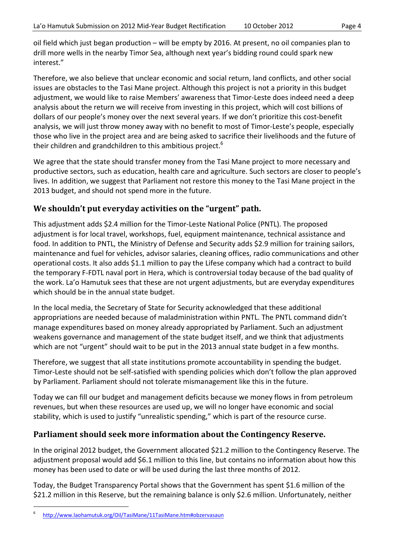oil field which just began production – will be empty by 2016. At present, no oil companies plan to drill more wells in the nearby Timor Sea, although next year's bidding round could spark new interest."

Therefore, we also believe that unclear economic and social return, land conflicts, and other social issues are obstacles to the Tasi Mane project. Although this project is not a priority in this budget adjustment, we would like to raise Members' awareness that Timor-Leste does indeed need a deep analysis about the return we will receive from investing in this project, which will cost billions of dollars of our people's money over the next several years. If we don't prioritize this cost-benefit analysis, we will just throw money away with no benefit to most of Timor-Leste's people, especially those who live in the project area and are being asked to sacrifice their livelihoods and the future of their children and grandchildren to this ambitious project.<sup>6</sup>

We agree that the state should transfer money from the Tasi Mane project to more necessary and productive sectors, such as education, health care and agriculture. Such sectors are closer to people's lives. In addition, we suggest that Parliament not restore this money to the Tasi Mane project in the 2013 budget, and should not spend more in the future.

#### **We shouldn't put everyday activities on the "urgent" path.**

This adjustment adds \$2.4 million for the Timor-Leste National Police (PNTL). The proposed adjustment is for local travel, workshops, fuel, equipment maintenance, technical assistance and food. In addition to PNTL, the Ministry of Defense and Security adds \$2.9 million for training sailors, maintenance and fuel for vehicles, advisor salaries, cleaning offices, radio communications and other operational costs. It also adds \$1.1 million to pay the Lifese company which had a contract to build the temporary F-FDTL naval port in Hera, which is controversial today because of the bad quality of the work. La'o Hamutuk sees that these are not urgent adjustments, but are everyday expenditures which should be in the annual state budget.

In the local media, the Secretary of State for Security acknowledged that these additional appropriations are needed because of maladministration within PNTL. The PNTL command didn't manage expenditures based on money already appropriated by Parliament. Such an adjustment weakens governance and management of the state budget itself, and we think that adjustments which are not "urgent" should wait to be put in the 2013 annual state budget in a few months.

Therefore, we suggest that all state institutions promote accountability in spending the budget. Timor-Leste should not be self-satisfied with spending policies which don't follow the plan approved by Parliament. Parliament should not tolerate mismanagement like this in the future.

Today we can fill our budget and management deficits because we money flows in from petroleum revenues, but when these resources are used up, we will no longer have economic and social stability, which is used to justify "unrealistic spending," which is part of the resource curse.

#### **Parliament should seek more information about the Contingency Reserve.**

In the original 2012 budget, the Government allocated \$21.2 million to the Contingency Reserve. The adjustment proposal would add \$6.1 million to this line, but contains no information about how this money has been used to date or will be used during the last three months of 2012.

Today, the Budget Transparency Portal shows that the Government has spent \$1.6 million of the \$21.2 million in this Reserve, but the remaining balance is only \$2.6 million. Unfortunately, neither

<sup>6</sup> http://www.laohamutuk.org/Oil/TasiMane/11TasiMane.htm#obzervasaun